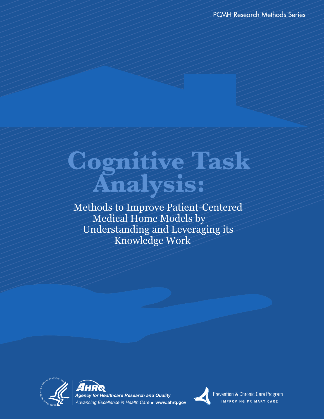PCMH Research Methods Series

# **Cognitive Task Analysis:**

 Methods to Improve Patient-Centered Medical Home Models by Understanding and Leveraging its Knowledge Work







Prevention & Chronic Care Program **IMPROVING PRIMARY CARE**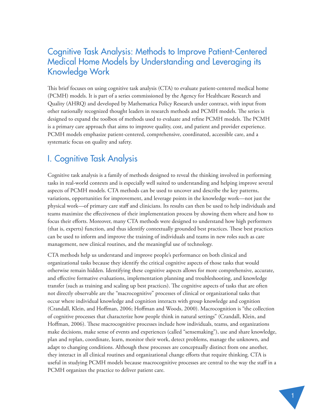## Cognitive Task Analysis: Methods to Improve Patient-Centered Medical Home Models by Understanding and Leveraging its Knowledge Work

This brief focuses on using cognitive task analysis (CTA) to evaluate patient-centered medical home (PCMH) models. It is part of a series commissioned by the Agency for Healthcare Research and Quality (AHRQ) and developed by Mathematica Policy Research under contract, with input from other nationally recognized thought leaders in research methods and PCMH models. The series is designed to expand the toolbox of methods used to evaluate and refine PCMH models. The PCMH is a primary care approach that aims to improve quality, cost, and patient and provider experience. PCMH models emphasize patient-centered, comprehensive, coordinated, accessible care, and a systematic focus on quality and safety.

## I. Cognitive Task Analysis

Cognitive task analysis is a family of methods designed to reveal the thinking involved in performing tasks in real-world contexts and is especially well suited to understanding and helping improve several aspects of PCMH models. CTA methods can be used to uncover and describe the key patterns, variations, opportunities for improvement, and leverage points in the knowledge work—not just the physical work—of primary care staff and clinicians. Its results can then be used to help individuals and teams maximize the effectiveness of their implementation process by showing them where and how to focus their efforts. Moreover, many CTA methods were designed to understand how high performers (that is, experts) function, and thus identify contextually grounded best practices. These best practices can be used to inform and improve the training of individuals and teams in new roles such as care management, new clinical routines, and the meaningful use of technology.

CTA methods help us understand and improve people's performance on both clinical and organizational tasks because they identify the critical cognitive aspects of those tasks that would otherwise remain hidden. Identifying these cognitive aspects allows for more comprehensive, accurate, and effective formative evaluations, implementation planning and troubleshooting, and knowledge transfer (such as training and scaling up best practices). The cognitive aspects of tasks that are often not directly observable are the "macrocognitive" processes of clinical or organizational tasks that occur where individual knowledge and cognition interacts with group knowledge and cognition (Crandall, Klein, and Hoffman, 2006; Hoffman and Woods, 2000). Macrocognition is "the collection of cognitive processes that characterize how people think in natural settings" (Crandall, Klein, and Hoffman, 2006). These macrocognitive processes include how individuals, teams, and organizations make decisions, make sense of events and experiences (called "sensemaking"), use and share knowledge, plan and replan, coordinate, learn, monitor their work, detect problems, manage the unknown, and adapt to changing conditions. Although these processes are conceptually distinct from one another, they interact in all clinical routines and organizational change efforts that require thinking. CTA is useful in studying PCMH models because macrocognitive processes are central to the way the staff in a PCMH organizes the practice to deliver patient care.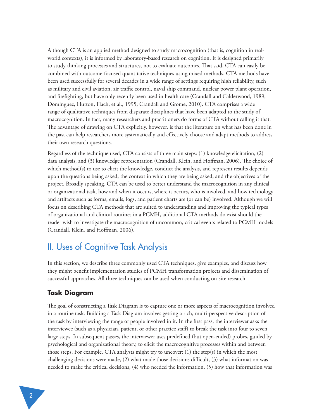Although CTA is an applied method designed to study macrocognition (that is, cognition in realworld contexts), it is informed by laboratory-based research on cognition. It is designed primarily to study thinking processes and structures, not to evaluate outcomes. That said, CTA can easily be combined with outcome-focused quantitative techniques using mixed methods. CTA methods have been used successfully for several decades in a wide range of settings requiring high reliability, such as military and civil aviation, air traffic control, naval ship command, nuclear power plant operation, and firefighting, but have only recently been used in health care (Crandall and Calderwood, 1989; Dominguez, Hutton, Flach, et al., 1995; Crandall and Grome, 2010). CTA comprises a wide range of qualitative techniques from disparate disciplines that have been adapted to the study of macrocognition. In fact, many researchers and practitioners do forms of CTA without calling it that. The advantage of drawing on CTA explicitly, however, is that the literature on what has been done in the past can help researchers more systematically and effectively choose and adapt methods to address their own research questions.

Regardless of the technique used, CTA consists of three main steps: (1) knowledge elicitation, (2) data analysis, and (3) knowledge representation (Crandall, Klein, and Hoffman, 2006). The choice of which method(s) to use to elicit the knowledge, conduct the analysis, and represent results depends upon the questions being asked, the context in which they are being asked, and the objectives of the project. Broadly speaking, CTA can be used to better understand the macrocognition in any clinical or organizational task, how and when it occurs, where it occurs, who is involved, and how technology and artifacts such as forms, emails, logs, and patient charts are (or can be) involved. Although we will focus on describing CTA methods that are suited to understanding and improving the typical types of organizational and clinical routines in a PCMH, additional CTA methods do exist should the reader wish to investigate the macrocognition of uncommon, critical events related to PCMH models (Crandall, Klein, and Hoffman, 2006).

## II. Uses of Cognitive Task Analysis

In this section, we describe three commonly used CTA techniques, give examples, and discuss how they might benefit implementation studies of PCMH transformation projects and dissemination of successful approaches. All three techniques can be used when conducting on-site research.

#### **Task Diagram**

The goal of constructing a Task Diagram is to capture one or more aspects of macrocognition involved in a routine task. Building a Task Diagram involves getting a rich, multi-perspective description of the task by interviewing the range of people involved in it. In the first pass, the interviewer asks the interviewee (such as a physician, patient, or other practice staff) to break the task into four to seven large steps. In subsequent passes, the interviewer uses predefined (but open-ended) probes, guided by psychological and organizational theory, to elicit the macrocognitive processes within and between those steps. For example, CTA analysts might try to uncover: (1) the step(s) in which the most challenging decisions were made, (2) what made those decisions difficult, (3) what information was needed to make the critical decisions, (4) who needed the information, (5) how that information was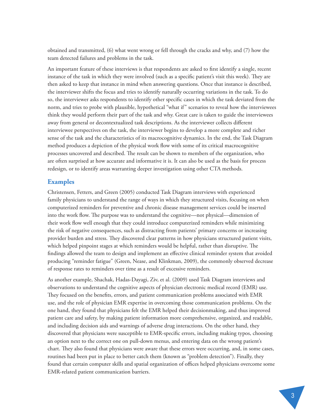obtained and transmitted, (6) what went wrong or fell through the cracks and why, and (7) how the team detected failures and problems in the task.

An important feature of these interviews is that respondents are asked to first identify a single, recent instance of the task in which they were involved (such as a specific patient's visit this week). They are then asked to keep that instance in mind when answering questions. Once that instance is described, the interviewer shifts the focus and tries to identify naturally occurring variations in the task. To do so, the interviewer asks respondents to identify other specific cases in which the task deviated from the norm, and tries to probe with plausible, hypothetical "what if" scenarios to reveal how the interviewees think they would perform their part of the task and why. Great care is taken to guide the interviewees away from general or decontextualized task descriptions. As the interviewer collects different interviewee perspectives on the task, the interviewer begins to develop a more complete and richer sense of the task and the characteristics of its macrocognitive dynamics. In the end, the Task Diagram method produces a depiction of the physical work flow with some of its critical macrocognitive processes uncovered and described. The result can be shown to members of the organization, who are often surprised at how accurate and informative it is. It can also be used as the basis for process redesign, or to identify areas warranting deeper investigation using other CTA methods.

#### **Examples**

Christensen, Fetters, and Green (2005) conducted Task Diagram interviews with experienced family physicians to understand the range of ways in which they structured visits, focusing on when computerized reminders for preventive and chronic disease management services could be inserted into the work flow. The purpose was to understand the cognitive—not physical—dimension of their work flow well enough that they could introduce computerized reminders while minimizing the risk of negative consequences, such as distracting from patients' primary concerns or increasing provider burden and stress. They discovered clear patterns in how physicians structured patient visits, which helped pinpoint stages at which reminders would be helpful, rather than disruptive. The findings allowed the team to design and implement an effective clinical reminder system that avoided producing "reminder fatigue" (Green, Nease, and Klinkman, 2009), the commonly observed decrease of response rates to reminders over time as a result of excessive reminders.

As another example, Shachak, Hadas-Dayagi, Ziv, et al. (2009) used Task Diagram interviews and observations to understand the cognitive aspects of physician electronic medical record (EMR) use. They focused on the benefits, errors, and patient communication problems associated with EMR use, and the role of physician EMR expertise in overcoming those communication problems. On the one hand, they found that physicians felt the EMR helped their decisionmaking, and thus improved patient care and safety, by making patient information more comprehensive, organized, and readable, and including decision aids and warnings of adverse drug interactions. On the other hand, they discovered that physicians were susceptible to EMR-specific errors, including making typos, choosing an option next to the correct one on pull-down menus, and entering data on the wrong patient's chart. They also found that physicians were aware that these errors were occurring, and, in some cases, routines had been put in place to better catch them (known as "problem detection"). Finally, they found that certain computer skills and spatial organization of offices helped physicians overcome some EMR-related patient communication barriers.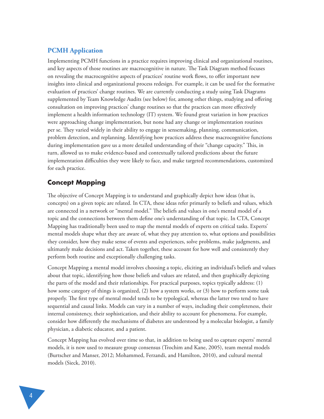#### **PCMH Application**

Implementing PCMH functions in a practice requires improving clinical and organizational routines, and key aspects of those routines are macrocognitive in nature. The Task Diagram method focuses on revealing the macrocognitive aspects of practices' routine work flows, to offer important new insights into clinical and organizational process redesign. For example, it can be used for the formative evaluation of practices' change routines. We are currently conducting a study using Task Diagrams supplemented by Team Knowledge Audits (see below) for, among other things, studying and offering consultation on improving practices' change routines so that the practices can more effectively implement a health information technology (IT) system. We found great variation in how practices were approaching change implementation, but none had any change or implementation routines per se. They varied widely in their ability to engage in sensemaking, planning, communication, problem detection, and replanning. Identifying how practices address these macrocognitive functions during implementation gave us a more detailed understanding of their "change capacity." This, in turn, allowed us to make evidence-based and contextually tailored predictions about the future implementation difficulties they were likely to face, and make targeted recommendations, customized for each practice.

## **Concept Mapping**

The objective of Concept Mapping is to understand and graphically depict how ideas (that is, concepts) on a given topic are related. In CTA, these ideas refer primarily to beliefs and values, which are connected in a network or "mental model." The beliefs and values in one's mental model of a topic and the connections between them define one's understanding of that topic. In CTA, Concept Mapping has traditionally been used to map the mental models of experts on critical tasks. Experts' mental models shape what they are aware of, what they pay attention to, what options and possibilities they consider, how they make sense of events and experiences, solve problems, make judgments, and ultimately make decisions and act. Taken together, these account for how well and consistently they perform both routine and exceptionally challenging tasks.

Concept Mapping a mental model involves choosing a topic, eliciting an individual's beliefs and values about that topic, identifying how those beliefs and values are related, and then graphically depicting the parts of the model and their relationships. For practical purposes, topics typically address: (1) how some category of things is organized, (2) how a system works, or (3) how to perform some task properly. The first type of mental model tends to be typological, whereas the latter two tend to have sequential and causal links. Models can vary in a number of ways, including their completeness, their internal consistency, their sophistication, and their ability to account for phenomena. For example, consider how differently the mechanisms of diabetes are understood by a molecular biologist, a family physician, a diabetic educator, and a patient.

Concept Mapping has evolved over time so that, in addition to being used to capture experts' mental models, it is now used to measure group consensus (Trochim and Kane, 2005), team mental models (Burtscher and Manser, 2012; Mohammed, Ferzandi, and Hamilton, 2010), and cultural mental models (Sieck, 2010).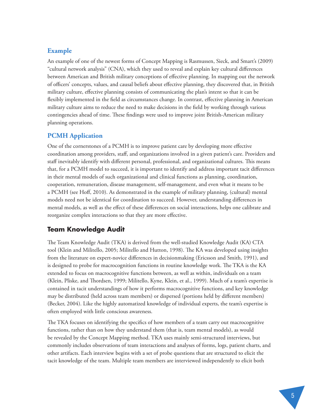#### **Example**

An example of one of the newest forms of Concept Mapping is Rasmussen, Sieck, and Smart's (2009) "cultural network analysis" (CNA), which they used to reveal and explain key cultural differences between American and British military conceptions of effective planning. In mapping out the network of officers' concepts, values, and causal beliefs about effective planning, they discovered that, in British military culture, effective planning consists of communicating the plan's intent so that it can be flexibly implemented in the field as circumstances change. In contrast, effective planning in American military culture aims to reduce the need to make decisions in the field by working through various contingencies ahead of time. These findings were used to improve joint British-American military planning operations.

#### **PCMH Application**

One of the cornerstones of a PCMH is to improve patient care by developing more effective coordination among providers, staff, and organizations involved in a given patient's care. Providers and staff inevitably identify with different personal, professional, and organizational cultures. This means that, for a PCMH model to succeed, it is important to identify and address important tacit differences in their mental models of such organizational and clinical functions as planning, coordination, cooperation, remuneration, disease management, self-management, and even what it means to be a PCMH (see Hoff, 2010). As demonstrated in the example of military planning, (cultural) mental models need not be identical for coordination to succeed. However, understanding differences in mental models, as well as the effect of these differences on social interactions, helps one calibrate and reorganize complex interactions so that they are more effective.

#### **Team Knowledge Audit**

The Team Knowledge Audit (TKA) is derived from the well-studied Knowledge Audit (KA) CTA tool (Klein and Militello, 2005; Militello and Hutton, 1998). The KA was developed using insights from the literature on expert-novice differences in decisionmaking (Ericsson and Smith, 1991), and is designed to probe for macrocognition functions in routine knowledge work. The TKA is the KA extended to focus on macrocognitive functions between, as well as within, individuals on a team (Klein, Pliske, and Thordsen, 1999; Militello, Kyne, Klein, et al., 1999). Much of a team's expertise is contained in tacit understandings of how it performs macrocognitive functions, and key knowledge may be distributed (held across team members) or dispersed (portions held by different members) (Becker, 2004). Like the highly automatized knowledge of individual experts, the team's expertise is often employed with little conscious awareness.

The TKA focuses on identifying the specifics of how members of a team carry out macrocognitive functions, rather than on how they understand them (that is, team mental models), as would be revealed by the Concept Mapping method. TKA uses mainly semi-structured interviews, but commonly includes observations of team interactions and analyses of forms, logs, patient charts, and other artifacts. Each interview begins with a set of probe questions that are structured to elicit the tacit knowledge of the team. Multiple team members are interviewed independently to elicit both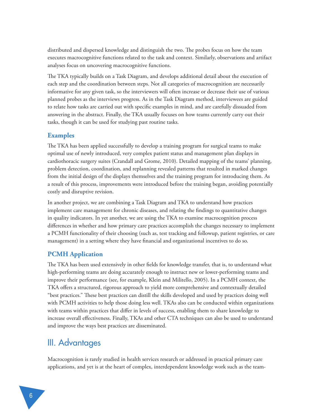distributed and dispersed knowledge and distinguish the two. The probes focus on how the team executes macrocognitive functions related to the task and context. Similarly, observations and artifact analyses focus on uncovering macrocognitive functions.

The TKA typically builds on a Task Diagram, and develops additional detail about the execution of each step and the coordination between steps. Not all categories of macrocognition are necessarily informative for any given task, so the interviewers will often increase or decrease their use of various planned probes as the interviews progress. As in the Task Diagram method, interviewees are guided to relate how tasks are carried out with specific examples in mind, and are carefully dissuaded from answering in the abstract. Finally, the TKA usually focuses on how teams currently carry out their tasks, though it can be used for studying past routine tasks.

#### **Examples**

The TKA has been applied successfully to develop a training program for surgical teams to make optimal use of newly introduced, very complex patient status and management plan displays in cardiothoracic surgery suites (Crandall and Grome, 2010). Detailed mapping of the teams' planning, problem detection, coordination, and replanning revealed patterns that resulted in marked changes from the initial design of the displays themselves and the training program for introducing them. As a result of this process, improvements were introduced before the training began, avoiding potentially costly and disruptive revision.

In another project, we are combining a Task Diagram and TKA to understand how practices implement care management for chronic diseases, and relating the findings to quantitative changes in quality indicators. In yet another, we are using the TKA to examine macrocognition process differences in whether and how primary care practices accomplish the changes necessary to implement a PCMH functionality of their choosing (such as, test tracking and followup, patient registries, or care management) in a setting where they have financial and organizational incentives to do so.

#### **PCMH Application**

The TKA has been used extensively in other fields for knowledge transfer, that is, to understand what high-performing teams are doing accurately enough to instruct new or lower-performing teams and improve their performance (see, for example, Klein and Militello, 2005). In a PCMH context, the TKA offers a structured, rigorous approach to yield more comprehensive and contextually detailed "best practices." These best practices can distill the skills developed and used by practices doing well with PCMH activities to help those doing less well. TKAs also can be conducted within organizations with teams within practices that differ in levels of success, enabling them to share knowledge to increase overall effectiveness. Finally, TKAs and other CTA techniques can also be used to understand and improve the ways best practices are disseminated.

## III. Advantages

Macrocognition is rarely studied in health services research or addressed in practical primary care applications, and yet is at the heart of complex, interdependent knowledge work such as the team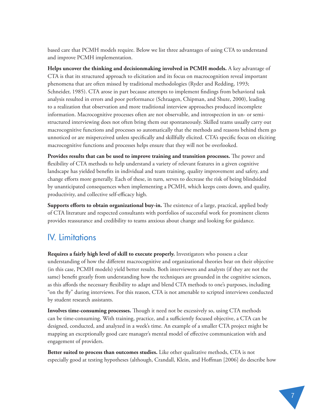based care that PCMH models require. Below we list three advantages of using CTA to understand and improve PCMH implementation.

**Helps uncover the thinking and decisionmaking involved in PCMH models.** A key advantage of CTA is that its structured approach to elicitation and its focus on macrocognition reveal important phenomena that are often missed by traditional methodologies (Ryder and Redding, 1993; Schneider, 1985). CTA arose in part because attempts to implement findings from behavioral task analysis resulted in errors and poor performance (Schraagen, Chipman, and Shute, 2000), leading to a realization that observation and more traditional interview approaches produced incomplete information. Macrocognitive processes often are not observable, and introspection in un- or semistructured interviewing does not often bring them out spontaneously. Skilled teams usually carry out macrocognitive functions and processes so automatically that the methods and reasons behind them go unnoticed or are misperceived unless specifically and skillfully elicited. CTA's specific focus on eliciting macrocognitive functions and processes helps ensure that they will not be overlooked.

**Provides results that can be used to improve training and transition processes.** The power and flexibility of CTA methods to help understand a variety of relevant features in a given cognitive landscape has yielded benefits in individual and team training, quality improvement and safety, and change efforts more generally. Each of these, in turn, serves to decrease the risk of being blindsided by unanticipated consequences when implementing a PCMH, which keeps costs down, and quality, productivity, and collective self-efficacy high.

**Supports efforts to obtain organizational buy-in.** The existence of a large, practical, applied body of CTA literature and respected consultants with portfolios of successful work for prominent clients provides reassurance and credibility to teams anxious about change and looking for guidance.

## IV. Limitations

**Requires a fairly high level of skill to execute properly.** Investigators who possess a clear understanding of how the different macrocognitive and organizational theories bear on their objective (in this case, PCMH models) yield better results. Both interviewers and analysts (if they are not the same) benefit greatly from understanding how the techniques are grounded in the cognitive sciences, as this affords the necessary flexibility to adapt and blend CTA methods to one's purposes, including "on the fly" during interviews. For this reason, CTA is not amenable to scripted interviews conducted by student research assistants.

**Involves time-consuming processes.** Though it need not be excessively so, using CTA methods can be time-consuming. With training, practice, and a sufficiently focused objective, a CTA can be designed, conducted, and analyzed in a week's time. An example of a smaller CTA project might be mapping an exceptionally good care manager's mental model of effective communication with and engagement of providers.

**Better suited to process than outcomes studies.** Like other qualitative methods, CTA is not especially good at testing hypotheses (although, Crandall, Klein, and Hoffman [2006] do describe how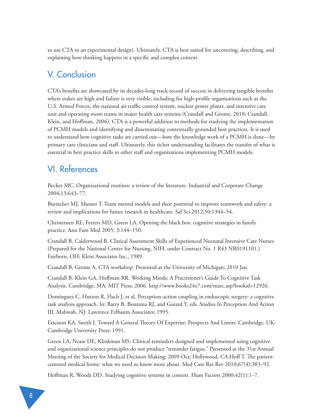to use CTA in an experimental design). Ultimately, CTA is best suited for uncovering, describing, and explaining how thinking happens in a specific and complex context.

# V. Conclusion

CTA's benefits are showcased by its decades-long track record of success in delivering tangible benefits where stakes are high and failure is very visible, including for high-profile organizations such as the U.S. Armed Forces, the national air traffic control system, nuclear power plants, and intensive care unit and operating room teams in major health care systems (Crandall and Grome, 2010; Crandall, Klein, and Hoffman, 2006). CTA is a powerful addition to methods for studying the implementation of PCMH models and identifying and disseminating contextually grounded best practices. It is used to understand how cognitive tasks are carried out—how the knowledge work of a PCMH is done—by primary care clinicians and staff. Ultimately, this richer understanding facilitates the transfer of what is essential in best practice skills to other staff and organizations implementing PCMH models.

# VI. References

Becker MC. Organizational routines: a review of the literature. Industrial and Corporate Change 2004;13:643–77.

Burtscher MJ, Manser T. Team mental models and their potential to improve teamwork and safety: a review and implications for future research in healthcare. Saf Sci 2012;50:1344–54.

Christensen RE, Fetters MD, Green LA. Opening the black box: cognitive strategies in family practice. Ann Fam Med 2005; 3:144–150.

Crandall B, Calderwood R. Clinical Assessment Skills of Experienced Neonatal Intensive Care Nurses. (Prepared for the National Center for Nursing, NIH, under Contract No. 1 R43 NR0191101.) Fairborn, OH: Klein Associates Inc., 1989.

Crandall B, Grome A. CTA workshop. Presented at the University of Michigan; 2010 Jan.

Crandall B, Klein GA, Hoffman RR. Working Minds: A Practitioner's Guide To Cognitive Task Analysis. Cambridge, MA: MIT Press; 2006. http://www.books24x7.com/marc.asp?bookid=12926.

Dominguez C, Hutton R, Flach J, et al. Perception-action coupling in endoscopic surgery: a cognitive task analysis approach. In: Barry B, Boutsma RJ, and Guiard Y, eds. Studies In Perception And Action III. Mahwah, NJ: Lawrence Erlbaum Associates; 1995.

Ericsson KA, Smith J. Toward A General Theory Of Expertise: Prospects And Limits. Cambridge, UK: Cambridge University Press; 1991.

Green LA, Nease DE, Klinkman MS. Clinical reminders designed and implemented using cognitive and organizational science principles do not produce "reminder fatigue." Presented at the 31st Annual Meeting of the Society for Medical Decision Making; 2009 Oct; Hollywood, CA.Hoff T. The patientcentered medical home: what we need to know more about. Med Care Res Rev 2010;67(4):383–92.

Hoffman R, Woods DD. Studying cognitive systems in context. Hum Factors 2000;42(1):1–7.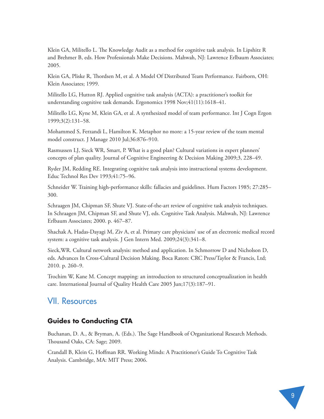Klein GA, Militello L. The Knowledge Audit as a method for cognitive task analysis. In Lipshitz R and Brehmer B, eds. How Professionals Make Decisions. Mahwah, NJ: Lawrence Erlbaum Associates; 2005.

Klein GA, Pliske R, Thordsen M, et al. A Model Of Distributed Team Performance. Fairborn, OH: Klein Associates; 1999.

Militello LG, Hutton RJ. Applied cognitive task analysis (ACTA): a practitioner's toolkit for understanding cognitive task demands. Ergonomics 1998 Nov;41(11):1618–41.

Militello LG, Kyne M, Klein GA, et al. A synthesized model of team performance. Int J Cogn Ergon 1999;3(2):131–58.

Mohammed S, Ferzandi L, Hamilton K. Metaphor no more: a 15-year review of the team mental model construct. J Manage 2010 Jul;36:876–910.

Rasmussen LJ, Sieck WR, Smart, P. What is a good plan? Cultural variations in expert planners' concepts of plan quality. Journal of Cognitive Engineering & Decision Making 2009;3, 228–49.

Ryder JM, Redding RE. Integrating cognitive task analysis into instructional systems development. Educ Technol Res Dev 1993;41:75–96.

Schneider W. Training high-performance skills: fallacies and guidelines. Hum Factors 1985; 27:285– 300.

Schraagen JM, Chipman SF, Shute VJ. State-of-the-art review of cognitive task analysis techniques. In Schraagen JM, Chipman SF, and Shute VJ, eds. Cognitive Task Analysis. Mahwah, NJ: Lawrence Erlbaum Associates; 2000. p. 467–87.

Shachak A, Hadas-Dayagi M, Ziv A, et al. Primary care physicians' use of an electronic medical record system: a cognitive task analysis. J Gen Intern Med. 2009;24(3):341–8.

Sieck,WR. Cultural network analysis: method and application. In Schmorrow D and Nicholson D, eds. Advances In Cross-Cultural Decision Making. Boca Raton: CRC Press/Taylor & Francis, Ltd; 2010. p. 260–9.

Trochim W, Kane M. Concept mapping: an introduction to structured conceptualization in health care. International Journal of Quality Health Care 2005 Jun;17(3):187–91.

## VII. Resources

### **Guides to Conducting CTA**

Buchanan, D. A., & Bryman, A. (Eds.). The Sage Handbook of Organizational Research Methods. Thousand Oaks, CA: Sage; 2009.

Crandall B, Klein G, Hoffman RR. Working Minds: A Practitioner's Guide To Cognitive Task Analysis. Cambridge, MA: MIT Press; 2006.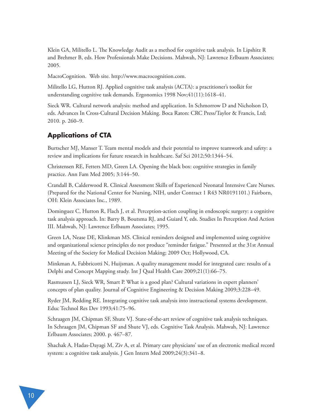Klein GA, Militello L. The Knowledge Audit as a method for cognitive task analysis. In Lipshitz R and Brehmer B, eds. How Professionals Make Decisions. Mahwah, NJ: Lawrence Erlbaum Associates; 2005.

MacroCognition. Web site. http://www.macrocognition.com.

Militello LG, Hutton RJ. Applied cognitive task analysis (ACTA): a practitioner's toolkit for understanding cognitive task demands. Ergonomics 1998 Nov;41(11):1618–41.

Sieck WR. Cultural network analysis: method and application. In Schmorrow D and Nicholson D, eds. Advances In Cross-Cultural Decision Making. Boca Raton: CRC Press/Taylor & Francis, Ltd; 2010. p. 260–9.

## **Applications of CTA**

Burtscher MJ, Manser T. Team mental models and their potential to improve teamwork and safety: a review and implications for future research in healthcare. Saf Sci 2012;50:1344–54.

Christensen RE, Fetters MD, Green LA. Opening the black box: cognitive strategies in family practice. Ann Fam Med 2005; 3:144–50.

Crandall B, Calderwood R. Clinical Assessment Skills of Experienced Neonatal Intensive Care Nurses. (Prepared for the National Center for Nursing, NIH, under Contract 1 R43 NR0191101.) Fairborn, OH: Klein Associates Inc., 1989.

Dominguez C, Hutton R, Flach J, et al. Perception-action coupling in endoscopic surgery: a cognitive task analysis approach. In: Barry B, Boutsma RJ, and Guiard Y, eds. Studies In Perception And Action III. Mahwah, NJ: Lawrence Erlbaum Associates; 1995.

Green LA, Nease DE, Klinkman MS. Clinical reminders designed and implemented using cognitive and organizational science principles do not produce "reminder fatigue." Presented at the 31st Annual Meeting of the Society for Medical Decision Making; 2009 Oct; Hollywood, CA.

Minkman A, Fabbricotti N, Huijsman. A quality management model for integrated care: results of a Delphi and Concept Mapping study. Int J Qual Health Care 2009;21(1):66–75.

Rasmussen LJ, Sieck WR, Smart P. What is a good plan? Cultural variations in expert planners' concepts of plan quality. Journal of Cognitive Engineering & Decision Making 2009;3:228–49.

Ryder JM, Redding RE. Integrating cognitive task analysis into instructional systems development. Educ Technol Res Dev 1993;41:75–96.

Schraagen JM, Chipman SF, Shute VJ. State-of-the-art review of cognitive task analysis techniques. In Schraagen JM, Chipman SF and Shute VJ, eds. Cognitive Task Analysis. Mahwah, NJ: Lawrence Erlbaum Associates; 2000. p. 467–87.

Shachak A, Hadas-Dayagi M, Ziv A, et al. Primary care physicians' use of an electronic medical record system: a cognitive task analysis. J Gen Intern Med 2009;24(3):341–8.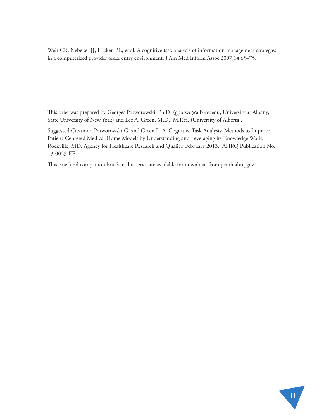Weir CR, Nebeker JJ, Hicken BL, et al. A cognitive task analysis of information management strategies in a computerized provider order entry environment. J Am Med Inform Assoc 2007;14:65–75.

This brief was prepared by Georges Potworowski, Ph.D. (gpotwo@albany.edu, University at Albany, State University of New York) and Lee A. Green, M.D., M.P.H. (University of Alberta).

Suggested Citation: Potworowski G. and Green L. A. Cognitive Task Analysis: Methods to Improve Patient-Centered Medical Home Models by Understanding and Leveraging its Knowledge Work. Rockville, MD: Agency for Healthcare Research and Quality. February 2013. AHRQ Publication No. 13-0023-EF.

This brief and companion briefs in this series are available for download from pcmh.ahrq.gov.